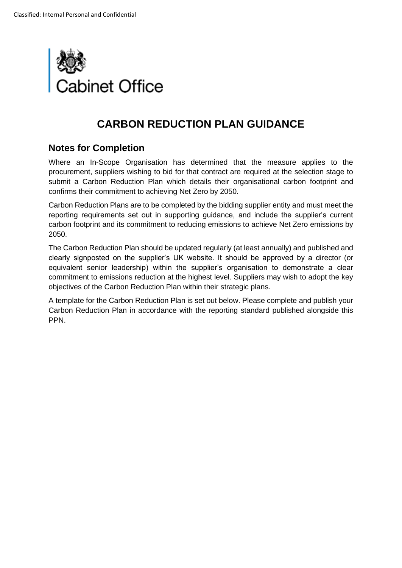

## **CARBON REDUCTION PLAN GUIDANCE**

## **Notes for Completion**

Where an In-Scope Organisation has determined that the measure applies to the procurement, suppliers wishing to bid for that contract are required at the selection stage to submit a Carbon Reduction Plan which details their organisational carbon footprint and confirms their commitment to achieving Net Zero by 2050.

Carbon Reduction Plans are to be completed by the bidding supplier entity and must meet the reporting requirements set out in supporting guidance, and include the supplier's current carbon footprint and its commitment to reducing emissions to achieve Net Zero emissions by 2050.

The Carbon Reduction Plan should be updated regularly (at least annually) and published and clearly signposted on the supplier's UK website. It should be approved by a director (or equivalent senior leadership) within the supplier's organisation to demonstrate a clear commitment to emissions reduction at the highest level. Suppliers may wish to adopt the key objectives of the Carbon Reduction Plan within their strategic plans.

A template for the Carbon Reduction Plan is set out below. Please complete and publish your Carbon Reduction Plan in accordance with the reporting standard published alongside this PPN.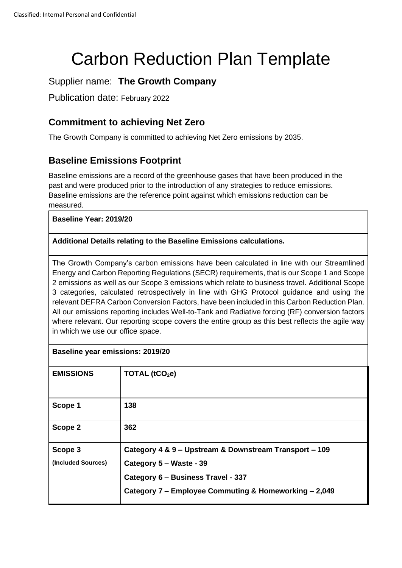# Carbon Reduction Plan Template

## Supplier name: **The Growth Company**

Publication date: February 2022

## **Commitment to achieving Net Zero**

The Growth Company is committed to achieving Net Zero emissions by 2035.

## **Baseline Emissions Footprint**

Baseline emissions are a record of the greenhouse gases that have been produced in the past and were produced prior to the introduction of any strategies to reduce emissions. Baseline emissions are the reference point against which emissions reduction can be measured.

#### **Baseline Year: 2019/20**

#### **Additional Details relating to the Baseline Emissions calculations.**

The Growth Company's carbon emissions have been calculated in line with our Streamlined Energy and Carbon Reporting Regulations (SECR) requirements, that is our Scope 1 and Scope 2 emissions as well as our Scope 3 emissions which relate to business travel. Additional Scope 3 categories, calculated retrospectively in line with GHG Protocol guidance and using the relevant DEFRA Carbon Conversion Factors, have been included in this Carbon Reduction Plan. All our emissions reporting includes Well-to-Tank and Radiative forcing (RF) conversion factors where relevant. Our reporting scope covers the entire group as this best reflects the agile way in which we use our office space.

| <b>Baseline year emissions: 2019/20</b> |                                                        |  |
|-----------------------------------------|--------------------------------------------------------|--|
| <b>EMISSIONS</b>                        | TOTAL $(tCO2e)$                                        |  |
| Scope 1                                 | 138                                                    |  |
| Scope 2                                 | 362                                                    |  |
| Scope 3                                 | Category 4 & 9 – Upstream & Downstream Transport – 109 |  |
| (Included Sources)                      | Category 5 – Waste - 39                                |  |
|                                         | Category 6 - Business Travel - 337                     |  |
|                                         | Category 7 - Employee Commuting & Homeworking - 2,049  |  |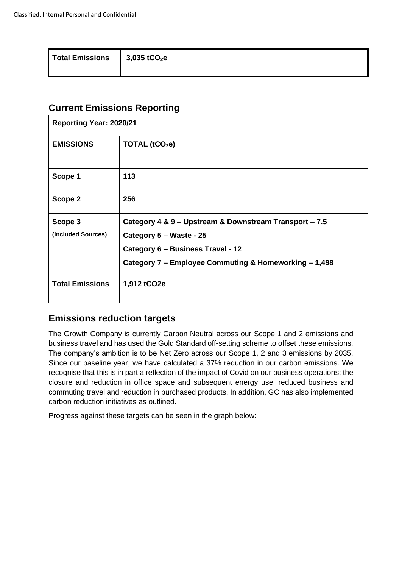| <b>Total Emissions</b><br>$\vert$ 3,035 tCO <sub>2</sub> e |  |
|------------------------------------------------------------|--|
|------------------------------------------------------------|--|

## **Current Emissions Reporting**

| <b>Reporting Year: 2020/21</b> |                                                        |  |
|--------------------------------|--------------------------------------------------------|--|
| <b>EMISSIONS</b>               | TOTAL (tCO <sub>2</sub> e)                             |  |
| Scope 1                        | 113                                                    |  |
| Scope 2                        | 256                                                    |  |
| Scope 3                        | Category 4 & 9 - Upstream & Downstream Transport - 7.5 |  |
| (Included Sources)             | Category 5 - Waste - 25                                |  |
|                                | Category 6 - Business Travel - 12                      |  |
|                                | Category 7 - Employee Commuting & Homeworking - 1,498  |  |
| <b>Total Emissions</b>         | 1,912 tCO2e                                            |  |

## **Emissions reduction targets**

The Growth Company is currently Carbon Neutral across our Scope 1 and 2 emissions and business travel and has used the Gold Standard off-setting scheme to offset these emissions. The company's ambition is to be Net Zero across our Scope 1, 2 and 3 emissions by 2035. Since our baseline year, we have calculated a 37% reduction in our carbon emissions. We recognise that this is in part a reflection of the impact of Covid on our business operations; the closure and reduction in office space and subsequent energy use, reduced business and commuting travel and reduction in purchased products. In addition, GC has also implemented carbon reduction initiatives as outlined.

Progress against these targets can be seen in the graph below: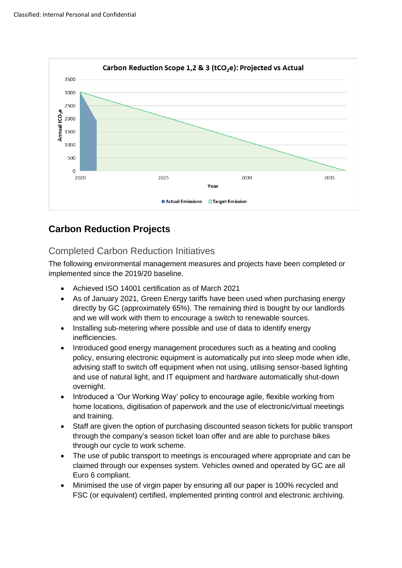

## **Carbon Reduction Projects**

## Completed Carbon Reduction Initiatives

The following environmental management measures and projects have been completed or implemented since the 2019/20 baseline.

- Achieved ISO 14001 certification as of March 2021
- As of January 2021, Green Energy tariffs have been used when purchasing energy directly by GC (approximately 65%). The remaining third is bought by our landlords and we will work with them to encourage a switch to renewable sources.
- Installing sub-metering where possible and use of data to identify energy inefficiencies.
- Introduced good energy management procedures such as a heating and cooling policy, ensuring electronic equipment is automatically put into sleep mode when idle, advising staff to switch off equipment when not using, utilising sensor-based lighting and use of natural light, and IT equipment and hardware automatically shut-down overnight.
- Introduced a 'Our Working Way' policy to encourage agile, flexible working from home locations, digitisation of paperwork and the use of electronic/virtual meetings and training.
- Staff are given the option of purchasing discounted season tickets for public transport through the company's season ticket loan offer and are able to purchase bikes through our cycle to work scheme.
- The use of public transport to meetings is encouraged where appropriate and can be claimed through our expenses system. Vehicles owned and operated by GC are all Euro 6 compliant.
- Minimised the use of virgin paper by ensuring all our paper is 100% recycled and FSC (or equivalent) certified, implemented printing control and electronic archiving.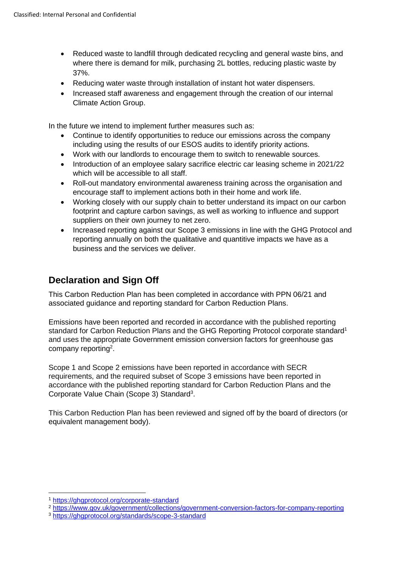- Reduced waste to landfill through dedicated recycling and general waste bins, and where there is demand for milk, purchasing 2L bottles, reducing plastic waste by 37%.
- Reducing water waste through installation of instant hot water dispensers.
- Increased staff awareness and engagement through the creation of our internal Climate Action Group.

In the future we intend to implement further measures such as:

- Continue to identify opportunities to reduce our emissions across the company including using the results of our ESOS audits to identify priority actions.
- Work with our landlords to encourage them to switch to renewable sources.
- Introduction of an employee salary sacrifice electric car leasing scheme in 2021/22 which will be accessible to all staff.
- Roll-out mandatory environmental awareness training across the organisation and encourage staff to implement actions both in their home and work life.
- Working closely with our supply chain to better understand its impact on our carbon footprint and capture carbon savings, as well as working to influence and support suppliers on their own journey to net zero.
- Increased reporting against our Scope 3 emissions in line with the GHG Protocol and reporting annually on both the qualitative and quantitive impacts we have as a business and the services we deliver.

## **Declaration and Sign Off**

This Carbon Reduction Plan has been completed in accordance with PPN 06/21 and associated guidance and reporting standard for Carbon Reduction Plans.

Emissions have been reported and recorded in accordance with the published reporting standard for Carbon Reduction Plans and the GHG Reporting Protocol corporate standard<sup>1</sup> and uses the appropriate [Government emission conversion factors for greenhouse gas](https://www.gov.uk/government/collections/government-conversion-factors-for-company-reporting)  [company reporting](https://www.gov.uk/government/collections/government-conversion-factors-for-company-reporting)<sup>2</sup>.

Scope 1 and Scope 2 emissions have been reported in accordance with SECR requirements, and the required subset of Scope 3 emissions have been reported in accordance with the published reporting standard for Carbon Reduction Plans and the Corporate Value Chain (Scope 3) Standard<sup>3</sup>.

This Carbon Reduction Plan has been reviewed and signed off by the board of directors (or equivalent management body).

<sup>2</sup> <https://www.gov.uk/government/collections/government-conversion-factors-for-company-reporting>

<sup>1</sup> <https://ghgprotocol.org/corporate-standard>

<sup>3</sup> <https://ghgprotocol.org/standards/scope-3-standard>